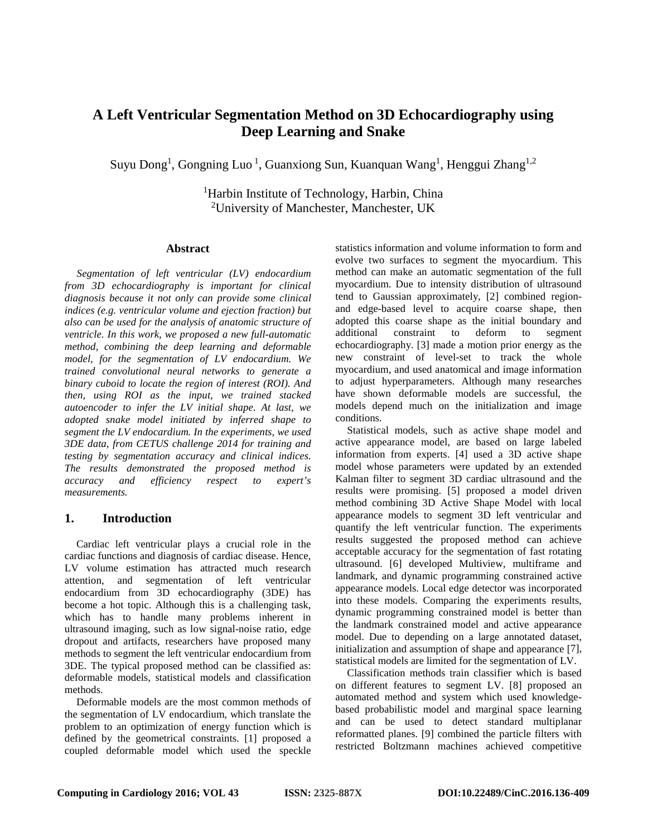# **A Left Ventricular Segmentation Method on 3D Echocardiography using Deep Learning and Snake**

Suyu Dong<sup>1</sup>, Gongning Luo<sup>1</sup>, Guanxiong Sun, Kuanquan Wang<sup>1</sup>, Henggui Zhang<sup>1,2</sup>

<sup>1</sup>Harbin Institute of Technology, Harbin, China <sup>2</sup>University of Manchester, Manchester, UK

#### **Abstract**

*Segmentation of left ventricular (LV) endocardium from 3D echocardiography is important for clinical diagnosis because it not only can provide some clinical indices (e.g. ventricular volume and ejection fraction) but also can be used for the analysis of anatomic structure of ventricle. In this work, we proposed a new full-automatic method, combining the deep learning and deformable model, for the segmentation of LV endocardium. We trained convolutional neural networks to generate a binary cuboid to locate the region of interest (ROI). And then, using ROI as the input, we trained stacked autoencoder to infer the LV initial shape. At last, we adopted snake model initiated by inferred shape to segment the LV endocardium. In the experiments, we used 3DE data, from CETUS challenge 2014 for training and testing by segmentation accuracy and clinical indices. The results demonstrated the proposed method is accuracy and efficiency respect to expert's measurements.*

### **1. Introduction**

Cardiac left ventricular plays a crucial role in the cardiac functions and diagnosis of cardiac disease. Hence, LV volume estimation has attracted much research attention, and segmentation of left ventricular endocardium from 3D echocardiography (3DE) has become a hot topic. Although this is a challenging task, which has to handle many problems inherent in ultrasound imaging, such as low signal-noise ratio, edge dropout and artifacts, researchers have proposed many methods to segment the left ventricular endocardium from 3DE. The typical proposed method can be classified as: deformable models, statistical models and classification methods.

Deformable models are the most common methods of the segmentation of LV endocardium, which translate the problem to an optimization of energy function which is defined by the geometrical constraints. [\[1\]](#page-3-0) proposed a coupled deformable model which used the speckle

statistics information and volume information to form and evolve two surfaces to segment the myocardium. This method can make an automatic segmentation of the full myocardium. Due to intensity distribution of ultrasound tend to Gaussian approximately, [\[2\]](#page-3-1) combined regionand edge-based level to acquire coarse shape, then adopted this coarse shape as the initial boundary and additional constraint to deform to segment constraint to deform to segment echocardiography. [\[3\]](#page-3-2) made a motion prior energy as the new constraint of level-set to track the whole myocardium, and used anatomical and image information to adjust hyperparameters. Although many researches have shown deformable models are successful, the models depend much on the initialization and image conditions.

Statistical models, such as active shape model and active appearance model, are based on large labeled information from experts. [\[4\]](#page-3-3) used a 3D active shape model whose parameters were updated by an extended Kalman filter to segment 3D cardiac ultrasound and the results were promising. [\[5\]](#page-3-4) proposed a model driven method combining 3D Active Shape Model with local appearance models to segment 3D left ventricular and quantify the left ventricular function. The experiments results suggested the proposed method can achieve acceptable accuracy for the segmentation of fast rotating ultrasound. [\[6\]](#page-3-5) developed Multiview, multiframe and landmark, and dynamic programming constrained active appearance models. Local edge detector was incorporated into these models. Comparing the experiments results, dynamic programming constrained model is better than the landmark constrained model and active appearance model. Due to depending on a large annotated dataset, initialization and assumption of shape and appearance [\[7\]](#page-3-6), statistical models are limited for the segmentation of LV.

Classification methods train classifier which is based on different features to segment LV. [\[8\]](#page-3-7) proposed an automated method and system which used knowledgebased probabilistic model and marginal space learning and can be used to detect standard multiplanar reformatted planes. [\[9\]](#page-3-8) combined the particle filters with restricted Boltzmann machines achieved competitive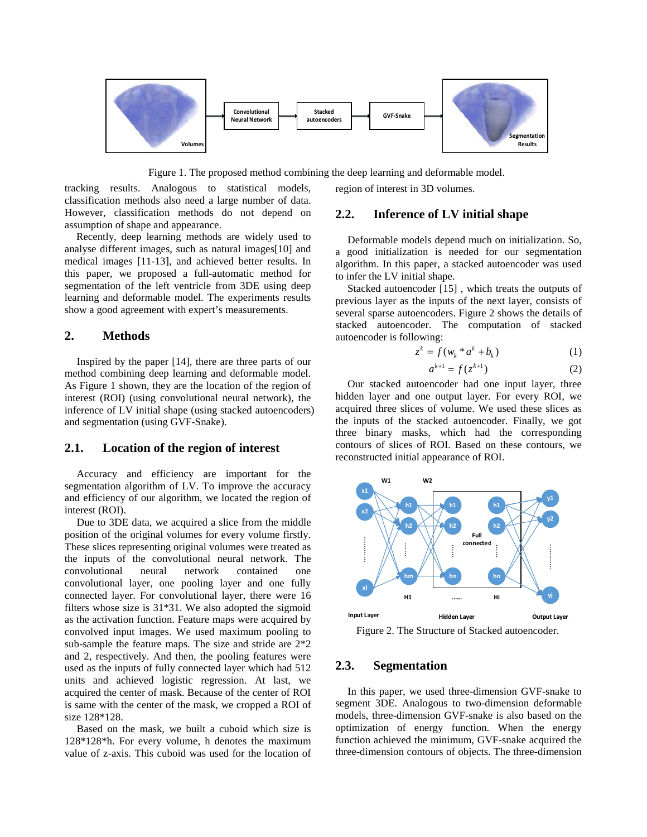

Figure 1. The proposed method combining the deep learning and deformable model.

tracking results. Analogous to statistical models, classification methods also need a large number of data. However, classification methods do not depend on assumption of shape and appearance.

Recently, deep learning methods are widely used to analyse different images, such as natural images[\[10\]](#page-3-9) and medical images [\[11-13\]](#page-3-10), and achieved better results. In this paper, we proposed a full-automatic method for segmentation of the left ventricle from 3DE using deep learning and deformable model. The experiments results show a good agreement with expert's measurements.

#### **2. Methods**

Inspired by the paper [\[14\]](#page-3-11), there are three parts of our method combining deep learning and deformable model. As Figure 1 shown, they are the location of the region of interest (ROI) (using convolutional neural network), the inference of LV initial shape (using stacked autoencoders) and segmentation (using GVF-Snake).

## **2.1. Location of the region of interest**

Accuracy and efficiency are important for the segmentation algorithm of LV. To improve the accuracy and efficiency of our algorithm, we located the region of interest (ROI).

Due to 3DE data, we acquired a slice from the middle position of the original volumes for every volume firstly. These slices representing original volumes were treated as the inputs of the convolutional neural network. The convolutional neural network contained one convolutional layer, one pooling layer and one fully connected layer. For convolutional layer, there were 16 filters whose size is 31\*31. We also adopted the sigmoid as the activation function. Feature maps were acquired by convolved input images. We used maximum pooling to sub-sample the feature maps. The size and stride are 2\*2 and 2, respectively. And then, the pooling features were used as the inputs of fully connected layer which had 512 units and achieved logistic regression. At last, we acquired the center of mask. Because of the center of ROI is same with the center of the mask, we cropped a ROI of size 128\*128.

Based on the mask, we built a cuboid which size is 128\*128\*h. For every volume, h denotes the maximum value of z-axis. This cuboid was used for the location of

# region of interest in 3D volumes.

#### **2.2. Inference of LV initial shape**

Deformable models depend much on initialization. So, a good initialization is needed for our segmentation algorithm. In this paper, a stacked autoencoder was used to infer the LV initial shape.

Stacked autoencoder [\[15\]](#page-3-12) , which treats the outputs of previous layer as the inputs of the next layer, consists of several sparse autoencoders. Figure 2 shows the details of stacked autoencoder. The computation of stacked autoencoder is following:

$$
z^k = f(w_k * a^k + b_k)
$$
 (1)

$$
a^{k+1} = f(z^{k+1})
$$
 (2)

Our stacked autoencoder had one input layer, three hidden layer and one output layer. For every ROI, we acquired three slices of volume. We used these slices as the inputs of the stacked autoencoder. Finally, we got three binary masks, which had the corresponding contours of slices of ROI. Based on these contours, we reconstructed initial appearance of ROI.



Figure 2. The Structure of Stacked autoencoder.

### **2.3. Segmentation**

In this paper, we used three-dimension GVF-snake to segment 3DE. Analogous to two-dimension deformable models, three-dimension GVF-snake is also based on the optimization of energy function. When the energy function achieved the minimum, GVF-snake acquired the three-dimension contours of objects. The three-dimension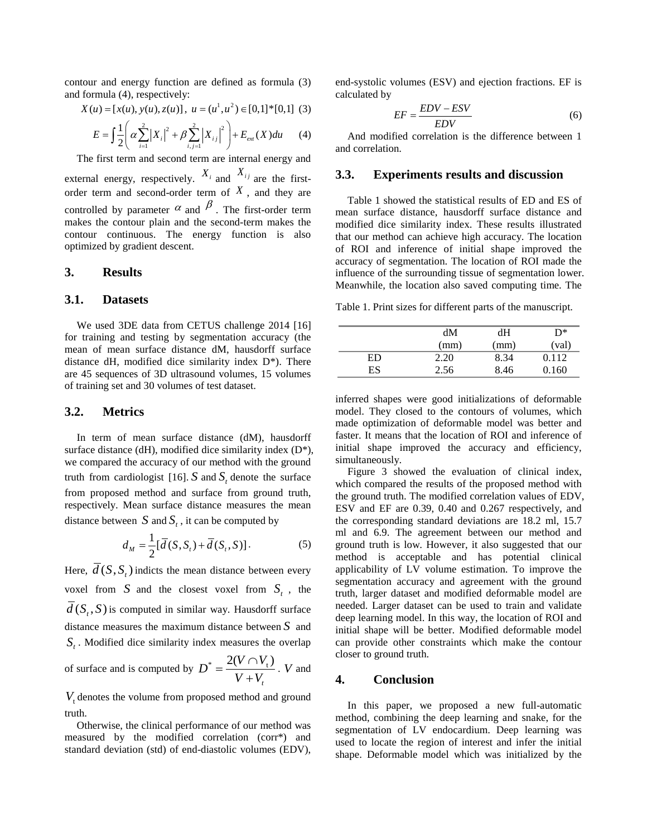contour and energy function are defined as formula (3) and formula (4), respectively:

$$
X(u) = [x(u), y(u), z(u)], \ u = (u^1, u^2) \in [0,1]^*[0,1] \tag{3}
$$

$$
E = \int \frac{1}{2} \left( \alpha \sum_{i=1}^{2} |X_i|^2 + \beta \sum_{i,j=1}^{2} |X_{ij}|^2 \right) + E_{ext}(X) du \tag{4}
$$

The first term and second term are internal energy and external energy, respectively.  $X_i$  and  $X_{ij}$  are the firstorder term and second-order term of  $\overline{X}$ , and they are controlled by parameter  $\alpha$  and  $\beta$ . The first-order term makes the contour plain and the second-term makes the contour continuous. The energy function is also optimized by gradient descent.

#### **3. Results**

#### **3.1. Datasets**

We used 3DE data from CETUS challenge 2014 [\[16\]](#page-3-13) for training and testing by segmentation accuracy (the mean of mean surface distance dM, hausdorff surface distance dH, modified dice similarity index  $D^*$ ). There are 45 sequences of 3D ultrasound volumes, 15 volumes of training set and 30 volumes of test dataset.

#### **3.2. Metrics**

In term of mean surface distance (dM), hausdorff surface distance (dH), modified dice similarity index  $(D^*),$ we compared the accuracy of our method with the ground truth from cardiologist [\[16\]](#page-3-13).  $S$  and  $S$ , denote the surface from proposed method and surface from ground truth, respectively. Mean surface distance measures the mean distance between  $S$  and  $S_t$ , it can be computed by

$$
d_M = \frac{1}{2} [\overline{d}(S, S_t) + \overline{d}(S_t, S)].
$$
\n(5)

Here,  $\overline{d}(S, S)$  indicts the mean distance between every voxel from *S* and the closest voxel from  $S_t$ , the  $\overline{d}(S_{\cdot},S)$  is computed in similar way. Hausdorff surface distance measures the maximum distance between *S* and  $S_t$ . Modified dice similarity index measures the overlap of surface and is computed by  $D^* = \frac{\sum_{i=1}^{N} V_i}{V + V_i}$  $D^* = \frac{2(V \cap V)}{V}$ +  $=\frac{2(V\cap V_t)}{V}$ . *V* and

 $V<sub>t</sub>$  denotes the volume from proposed method and ground truth.

Otherwise, the clinical performance of our method was measured by the modified correlation (corr\*) and standard deviation (std) of end-diastolic volumes (EDV),

end-systolic volumes (ESV) and ejection fractions. EF is calculated by

$$
EF = \frac{EDV - ESV}{EDV}
$$
 (6)

And modified correlation is the difference between 1 and correlation.

#### **3.3. Experiments results and discussion**

Table 1 showed the statistical results of ED and ES of mean surface distance, hausdorff surface distance and modified dice similarity index. These results illustrated that our method can achieve high accuracy. The location of ROI and inference of initial shape improved the accuracy of segmentation. The location of ROI made the influence of the surrounding tissue of segmentation lower. Meanwhile, the location also saved computing time. The

Table 1. Print sizes for different parts of the manuscript.

|    | dM   | dН   | D*    |
|----|------|------|-------|
|    | (mm) | (mm) | (val) |
| ED | 2.20 | 8.34 | 0.112 |
| ES | 2.56 | 8.46 | 0.160 |

inferred shapes were good initializations of deformable model. They closed to the contours of volumes, which made optimization of deformable model was better and faster. It means that the location of ROI and inference of initial shape improved the accuracy and efficiency, simultaneously.

Figure 3 showed the evaluation of clinical index, which compared the results of the proposed method with the ground truth. The modified correlation values of EDV, ESV and EF are 0.39, 0.40 and 0.267 respectively, and the corresponding standard deviations are 18.2 ml, 15.7 ml and 6.9. The agreement between our method and ground truth is low. However, it also suggested that our method is acceptable and has potential clinical applicability of LV volume estimation. To improve the segmentation accuracy and agreement with the ground truth, larger dataset and modified deformable model are needed. Larger dataset can be used to train and validate deep learning model. In this way, the location of ROI and initial shape will be better. Modified deformable model can provide other constraints which make the contour closer to ground truth.

# **4. Conclusion**

In this paper, we proposed a new full-automatic method, combining the deep learning and snake, for the segmentation of LV endocardium. Deep learning was used to locate the region of interest and infer the initial shape. Deformable model which was initialized by the